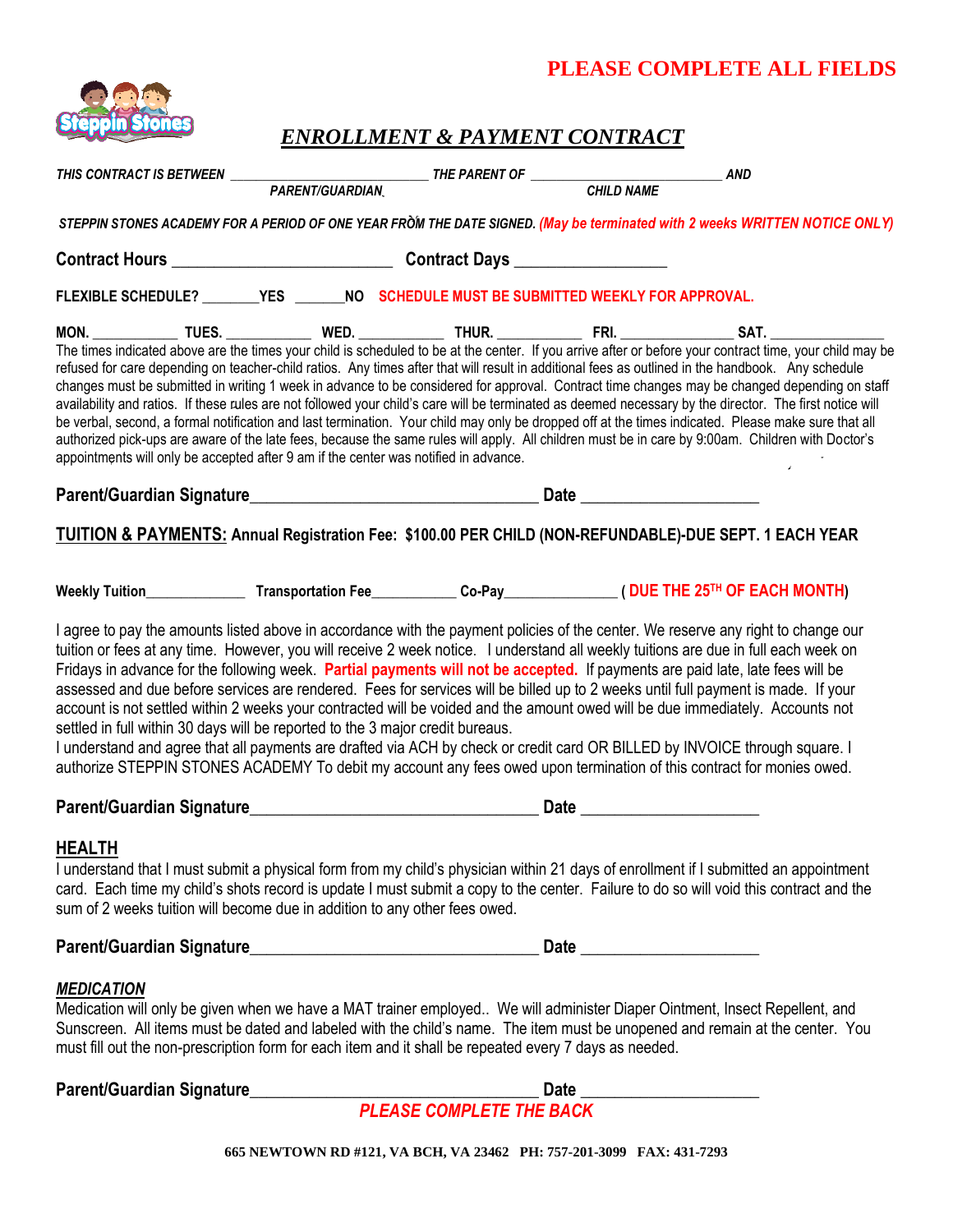# **PLEASE COMPLETE ALL FIELDS**



# *ENROLLMENT & PAYMENT CONTRACT*

| THIS CONTRACT IS BETWEEN ________                                                                                                                                                                                                                                                                                                                                                                                                                                                                                                                                                                                                                                                                                                                                                                                                                                                                                                                                                                                              |  |  |  | <b>AND</b> |  |
|--------------------------------------------------------------------------------------------------------------------------------------------------------------------------------------------------------------------------------------------------------------------------------------------------------------------------------------------------------------------------------------------------------------------------------------------------------------------------------------------------------------------------------------------------------------------------------------------------------------------------------------------------------------------------------------------------------------------------------------------------------------------------------------------------------------------------------------------------------------------------------------------------------------------------------------------------------------------------------------------------------------------------------|--|--|--|------------|--|
|                                                                                                                                                                                                                                                                                                                                                                                                                                                                                                                                                                                                                                                                                                                                                                                                                                                                                                                                                                                                                                |  |  |  |            |  |
| STEPPIN STONES ACADEMY FOR A PERIOD OF ONE YEAR FROM THE DATE SIGNED. (May be terminated with 2 weeks WRITTEN NOTICE ONLY)                                                                                                                                                                                                                                                                                                                                                                                                                                                                                                                                                                                                                                                                                                                                                                                                                                                                                                     |  |  |  |            |  |
|                                                                                                                                                                                                                                                                                                                                                                                                                                                                                                                                                                                                                                                                                                                                                                                                                                                                                                                                                                                                                                |  |  |  |            |  |
| FLEXIBLE SCHEDULE? ________YES _______NO SCHEDULE MUST BE SUBMITTED WEEKLY FOR APPROVAL.                                                                                                                                                                                                                                                                                                                                                                                                                                                                                                                                                                                                                                                                                                                                                                                                                                                                                                                                       |  |  |  |            |  |
| The times indicated above are the times your child is scheduled to be at the center. If you arrive after or before your contract time, your child may be<br>refused for care depending on teacher-child ratios. Any times after that will result in additional fees as outlined in the handbook. Any schedule<br>changes must be submitted in writing 1 week in advance to be considered for approval. Contract time changes may be changed depending on staff<br>availability and ratios. If these rules are not followed your child's care will be terminated as deemed necessary by the director. The first notice will<br>be verbal, second, a formal notification and last termination. Your child may only be dropped off at the times indicated. Please make sure that all<br>authorized pick-ups are aware of the late fees, because the same rules will apply. All children must be in care by 9:00am. Children with Doctor's<br>appointments will only be accepted after 9 am if the center was notified in advance. |  |  |  |            |  |
|                                                                                                                                                                                                                                                                                                                                                                                                                                                                                                                                                                                                                                                                                                                                                                                                                                                                                                                                                                                                                                |  |  |  |            |  |
| TUITION & PAYMENTS: Annual Registration Fee: \$100.00 PER CHILD (NON-REFUNDABLE)-DUE SEPT. 1 EACH YEAR                                                                                                                                                                                                                                                                                                                                                                                                                                                                                                                                                                                                                                                                                                                                                                                                                                                                                                                         |  |  |  |            |  |
|                                                                                                                                                                                                                                                                                                                                                                                                                                                                                                                                                                                                                                                                                                                                                                                                                                                                                                                                                                                                                                |  |  |  |            |  |
| I agree to pay the amounts listed above in accordance with the payment policies of the center. We reserve any right to change our<br>tuition or fees at any time. However, you will receive 2 week notice. I understand all weekly tuitions are due in full each week on<br>Fridays in advance for the following week. Partial payments will not be accepted. If payments are paid late, late fees will be<br>assessed and due before services are rendered. Fees for services will be billed up to 2 weeks until full payment is made. If your<br>account is not settled within 2 weeks your contracted will be voided and the amount owed will be due immediately. Accounts not<br>settled in full within 30 days will be reported to the 3 major credit bureaus.<br>I understand and agree that all payments are drafted via ACH by check or credit card OR BILLED by INVOICE through square. I<br>authorize STEPPIN STONES ACADEMY To debit my account any fees owed upon termination of this contract for monies owed.    |  |  |  |            |  |
|                                                                                                                                                                                                                                                                                                                                                                                                                                                                                                                                                                                                                                                                                                                                                                                                                                                                                                                                                                                                                                |  |  |  |            |  |
| <b>HEALTH</b><br>I understand that I must submit a physical form from my child's physician within 21 days of enrollment if I submitted an appointment<br>card. Each time my child's shots record is update I must submit a copy to the center. Failure to do so will void this contract and the<br>sum of 2 weeks tuition will become due in addition to any other fees owed.                                                                                                                                                                                                                                                                                                                                                                                                                                                                                                                                                                                                                                                  |  |  |  |            |  |
|                                                                                                                                                                                                                                                                                                                                                                                                                                                                                                                                                                                                                                                                                                                                                                                                                                                                                                                                                                                                                                |  |  |  |            |  |
| <b>MEDICATION</b>                                                                                                                                                                                                                                                                                                                                                                                                                                                                                                                                                                                                                                                                                                                                                                                                                                                                                                                                                                                                              |  |  |  |            |  |

Medication will only be given when we have a MAT trainer employed.. We will administer Diaper Ointment, Insect Repellent, and Sunscreen. All items must be dated and labeled with the child's name. The item must be unopened and remain at the center. You must fill out the non-prescription form for each item and it shall be repeated every 7 days as needed.

**Parent/Guardian Signature\_\_\_\_\_\_\_\_\_\_\_\_\_\_\_\_\_\_\_\_\_\_\_\_\_\_\_\_\_\_\_\_\_\_ Date \_\_\_\_\_\_\_\_\_\_\_\_\_\_\_\_\_\_\_\_\_**

*PLEASE COMPLETE THE BACK*